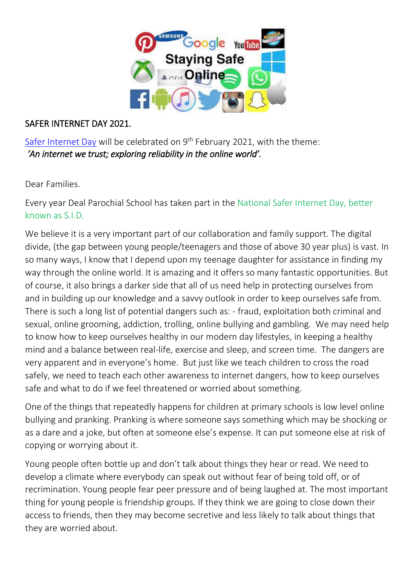

### SAFER INTERNET DAY 2021.

Safer [Internet](https://www.saferinternet.org.uk/safer-internet-day/2021) Day will be celebrated on 9<sup>th</sup> February 2021, with the theme: *'An internet we trust; exploring reliability in the online world'.* 

Dear Families.

Every year Deal Parochial School has taken part in the National Safer Internet Day, better known as S.I.D.

We believe it is a very important part of our collaboration and family support. The digital divide, (the gap between young people/teenagers and those of above 30 year plus) is vast. In so many ways, I know that I depend upon my teenage daughter for assistance in finding my way through the online world. It is amazing and it offers so many fantastic opportunities. But of course, it also brings a darker side that all of us need help in protecting ourselves from and in building up our knowledge and a savvy outlook in order to keep ourselves safe from. There is such a long list of potential dangers such as: - fraud, exploitation both criminal and sexual, online grooming, addiction, trolling, online bullying and gambling. We may need help to know how to keep ourselves healthy in our modern day lifestyles, in keeping a healthy mind and a balance between real-life, exercise and sleep, and screen time. The dangers are very apparent and in everyone's home. But just like we teach children to cross the road safely, we need to teach each other awareness to internet dangers, how to keep ourselves safe and what to do if we feel threatened or worried about something.

One of the things that repeatedly happens for children at primary schools is low level online bullying and pranking. Pranking is where someone says something which may be shocking or as a dare and a joke, but often at someone else's expense. It can put someone else at risk of copying or worrying about it.

Young people often bottle up and don't talk about things they hear or read. We need to develop a climate where everybody can speak out without fear of being told off, or of recrimination. Young people fear peer pressure and of being laughed at. The most important thing for young people is friendship groups. If they think we are going to close down their access to friends, then they may become secretive and less likely to talk about things that they are worried about.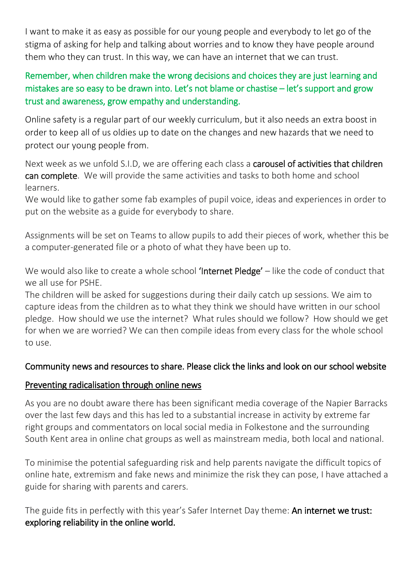I want to make it as easy as possible for our young people and everybody to let go of the stigma of asking for help and talking about worries and to know they have people around them who they can trust. In this way, we can have an internet that we can trust.

# Remember, when children make the wrong decisions and choices they are just learning and mistakes are so easy to be drawn into. Let's not blame or chastise – let's support and grow trust and awareness, grow empathy and understanding.

Online safety is a regular part of our weekly curriculum, but it also needs an extra boost in order to keep all of us oldies up to date on the changes and new hazards that we need to protect our young people from.

Next week as we unfold S.I.D, we are offering each class a carousel of activities that children can complete. We will provide the same activities and tasks to both home and school learners.

We would like to gather some fab examples of pupil voice, ideas and experiences in order to put on the website as a guide for everybody to share.

Assignments will be set on Teams to allow pupils to add their pieces of work, whether this be a computer-generated file or a photo of what they have been up to.

We would also like to create a whole school 'Internet Pledge' – like the code of conduct that we all use for PSHE.

The children will be asked for suggestions during their daily catch up sessions. We aim to capture ideas from the children as to what they think we should have written in our school pledge. How should we use the internet? What rules should we follow? How should we get for when we are worried? We can then compile ideas from every class for the whole school to use.

## Community news and resources to share. Please click the links and look on our school website

## Preventing radicalisation through online news

As you are no doubt aware there has been significant media coverage of the Napier Barracks over the last few days and this has led to a substantial increase in activity by extreme far right groups and commentators on local social media in Folkestone and the surrounding South Kent area in online chat groups as well as mainstream media, both local and national.

To minimise the potential safeguarding risk and help parents navigate the difficult topics of online hate, extremism and fake news and minimize the risk they can pose, I have attached a guide for sharing with parents and carers.

The guide fits in perfectly with this year's Safer Internet Day theme: An internet we trust: exploring reliability in the online world.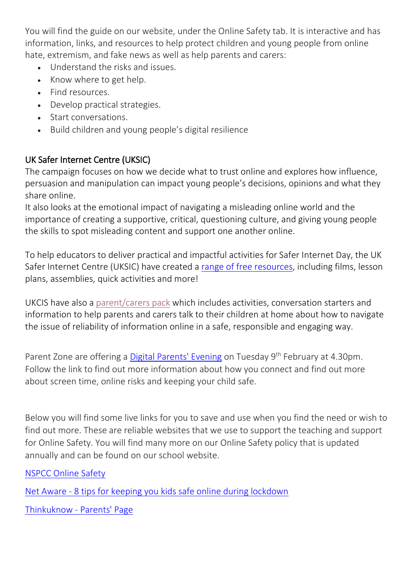You will find the guide on our website, under the Online Safety tab. It is interactive and has information, links, and resources to help protect children and young people from online hate, extremism, and fake news as well as help parents and carers:

- Understand the risks and issues.
- Know where to get help.
- Find resources.
- Develop practical strategies.
- Start conversations.
- Build children and young people's digital resilience

# UK Safer Internet Centre (UKSIC)

The campaign focuses on how we decide what to trust online and explores how influence, persuasion and manipulation can impact young people's decisions, opinions and what they share online.

It also looks at the emotional impact of navigating a misleading online world and the importance of creating a supportive, critical, questioning culture, and giving young people the skills to spot misleading content and support one another online.

To help educators to deliver practical and impactful activities for Safer Internet Day, the UK Safer Internet Centre (UKSIC) have created a range of free [resources,](https://www.saferinternet.org.uk/safer-internet-day/safer-internet-day-2021/i-work-young-people) including films, lesson plans, assemblies, quick activities and more!

UKCIS have also a [parent/carers](https://www.saferinternet.org.uk/safer-internet-day/safer-internet-day-2021/i-am-parent-or-carer) pack which includes activities, conversation starters and information to help parents and carers talk to their children at home about how to navigate the issue of reliability of information online in a safe, responsible and engaging way.

Parent Zone are offering a *Digital Parents' Evening* on Tuesday 9<sup>th</sup> February at 4.30pm. Follow the link to find out more information about how you connect and find out more about screen time, online risks and keeping your child safe.

Below you will find some live links for you to save and use when you find the need or wish to find out more. These are reliable websites that we use to support the teaching and support for Online Safety. You will find many more on our Online Safety policy that is updated annually and can be found on our school website.

# [NSPCC Online Safety](https://www.nspcc.org.uk/keeping-children-safe/online-safety/)

Net Aware - [8 tips for keeping you kids safe online during lockdown](https://www.net-aware.org.uk/news/8-tips-for-keeping-your-kids-safe-online-during-lockdown/)

[Thinkuknow -](https://www.thinkuknow.co.uk/parents/) Parents' Page